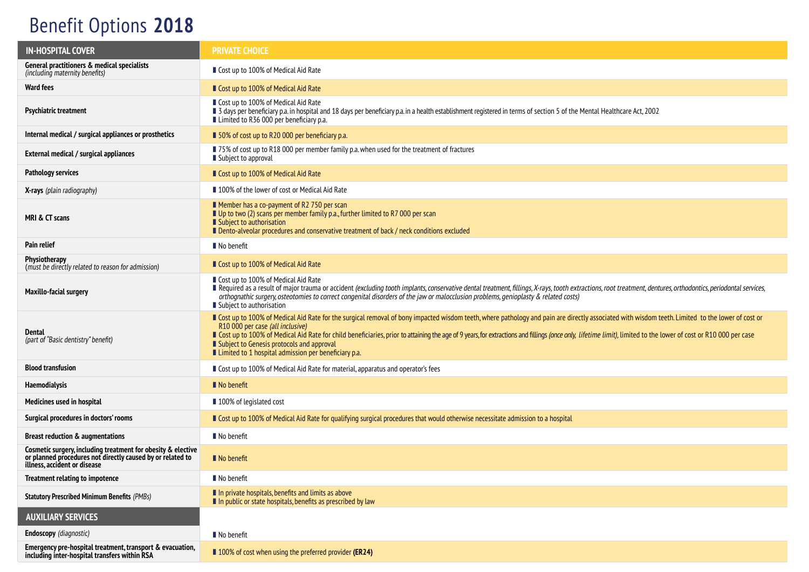## Benefit Options **2018**

| <b>IN-HOSPITAL COVER</b>                                                                                                                                   | <b>PRIVATE CHOICE</b>                                                                                                                                                                                                                                                                                                                                                                                                                                                                                                                                            |  |  |
|------------------------------------------------------------------------------------------------------------------------------------------------------------|------------------------------------------------------------------------------------------------------------------------------------------------------------------------------------------------------------------------------------------------------------------------------------------------------------------------------------------------------------------------------------------------------------------------------------------------------------------------------------------------------------------------------------------------------------------|--|--|
| General practitioners & medical specialists<br>(including maternity benefits)                                                                              | Cost up to 100% of Medical Aid Rate                                                                                                                                                                                                                                                                                                                                                                                                                                                                                                                              |  |  |
| <b>Ward fees</b>                                                                                                                                           | ■ Cost up to 100% of Medical Aid Rate                                                                                                                                                                                                                                                                                                                                                                                                                                                                                                                            |  |  |
| <b>Psychiatric treatment</b>                                                                                                                               | ■ Cost up to 100% of Medical Aid Rate<br>I 3 days per beneficiary p.a. in hospital and 18 days per beneficiary p.a. in a health establishment registered in terms of section 5 of the Mental Healthcare Act, 2002<br>■ Limited to R36 000 per beneficiary p.a.                                                                                                                                                                                                                                                                                                   |  |  |
| Internal medical / surgical appliances or prosthetics                                                                                                      | ■ 50% of cost up to R20 000 per beneficiary p.a.                                                                                                                                                                                                                                                                                                                                                                                                                                                                                                                 |  |  |
| External medical / surgical appliances                                                                                                                     | ■ 75% of cost up to R18 000 per member family p.a. when used for the treatment of fractures<br>Subject to approval                                                                                                                                                                                                                                                                                                                                                                                                                                               |  |  |
| <b>Pathology services</b>                                                                                                                                  | ■ Cost up to 100% of Medical Aid Rate                                                                                                                                                                                                                                                                                                                                                                                                                                                                                                                            |  |  |
| <b>X-rays</b> (plain radiography)                                                                                                                          | ■ 100% of the lower of cost or Medical Aid Rate                                                                                                                                                                                                                                                                                                                                                                                                                                                                                                                  |  |  |
| MRI & CT scans                                                                                                                                             | ■ Member has a co-payment of R2 750 per scan<br>Up to two (2) scans per member family p.a., further limited to R7 000 per scan<br>Subject to authorisation<br>Dento-alveolar procedures and conservative treatment of back / neck conditions excluded                                                                                                                                                                                                                                                                                                            |  |  |
| Pain relief                                                                                                                                                | ■ No benefit                                                                                                                                                                                                                                                                                                                                                                                                                                                                                                                                                     |  |  |
| <b>Physiotherapy</b><br>(must be directly related to reason for admission)                                                                                 | ■ Cost up to 100% of Medical Aid Rate                                                                                                                                                                                                                                                                                                                                                                                                                                                                                                                            |  |  |
| <b>Maxillo-facial surgery</b>                                                                                                                              | ■ Cost up to 100% of Medical Aid Rate<br>Required as a result of major trauma or accident (excluding tooth implants, conservative dental treatment, fillings, X-rays, tooth extractions, root treatment, dentures, orthodontics, periodontal services,<br>orthognathic surgery, osteotomies to correct congenital disorders of the jaw or malocclusion problems, genioplasty & related costs)<br>■ Subject to authorisation                                                                                                                                      |  |  |
| Dental<br>(part of "Basic dentistry" benefit)                                                                                                              | ■ Cost up to 100% of Medical Aid Rate for the surgical removal of bony impacted wisdom teeth, where pathology and pain are directly associated with wisdom teeth. Limited to the lower of cost or<br>R10 000 per case (all inclusive)<br>Gost up to 100% of Medical Aid Rate for child beneficiaries, prior to attaining the age of 9 years, for extractions and fillings (once only, lifetime limit), limited to the lower of cost or R10 000 per case<br>■ Subject to Genesis protocols and approval<br>■ Limited to 1 hospital admission per beneficiary p.a. |  |  |
| <b>Blood transfusion</b>                                                                                                                                   | ■ Cost up to 100% of Medical Aid Rate for material, apparatus and operator's fees                                                                                                                                                                                                                                                                                                                                                                                                                                                                                |  |  |
| Haemodialysis                                                                                                                                              | $\blacksquare$ No benefit                                                                                                                                                                                                                                                                                                                                                                                                                                                                                                                                        |  |  |
| Medicines used in hospital                                                                                                                                 | ■ 100% of legislated cost                                                                                                                                                                                                                                                                                                                                                                                                                                                                                                                                        |  |  |
| Surgical procedures in doctors' rooms                                                                                                                      | Cost up to 100% of Medical Aid Rate for qualifying surgical procedures that would otherwise necessitate admission to a hospital                                                                                                                                                                                                                                                                                                                                                                                                                                  |  |  |
| <b>Breast reduction &amp; augmentations</b>                                                                                                                | No benefit                                                                                                                                                                                                                                                                                                                                                                                                                                                                                                                                                       |  |  |
| Cosmetic surgery, including treatment for obesity & elective<br>or planned procedures not directly caused by or related to<br>illness, accident or disease | $\blacksquare$ No benefit                                                                                                                                                                                                                                                                                                                                                                                                                                                                                                                                        |  |  |
| <b>Treatment relating to impotence</b>                                                                                                                     | No benefit                                                                                                                                                                                                                                                                                                                                                                                                                                                                                                                                                       |  |  |
| <b>Statutory Prescribed Minimum Benefits (PMBs)</b>                                                                                                        | In private hospitals, benefits and limits as above<br>In public or state hospitals, benefits as prescribed by law                                                                                                                                                                                                                                                                                                                                                                                                                                                |  |  |
| <b>AUXILIARY SERVICES</b>                                                                                                                                  |                                                                                                                                                                                                                                                                                                                                                                                                                                                                                                                                                                  |  |  |
| <b>Endoscopy</b> (diagnostic)                                                                                                                              | No benefit                                                                                                                                                                                                                                                                                                                                                                                                                                                                                                                                                       |  |  |
| Emergency pre-hospital treatment, transport & evacuation,<br>including inter-hospital transfers within RSA                                                 | ■ 100% of cost when using the preferred provider (ER24)                                                                                                                                                                                                                                                                                                                                                                                                                                                                                                          |  |  |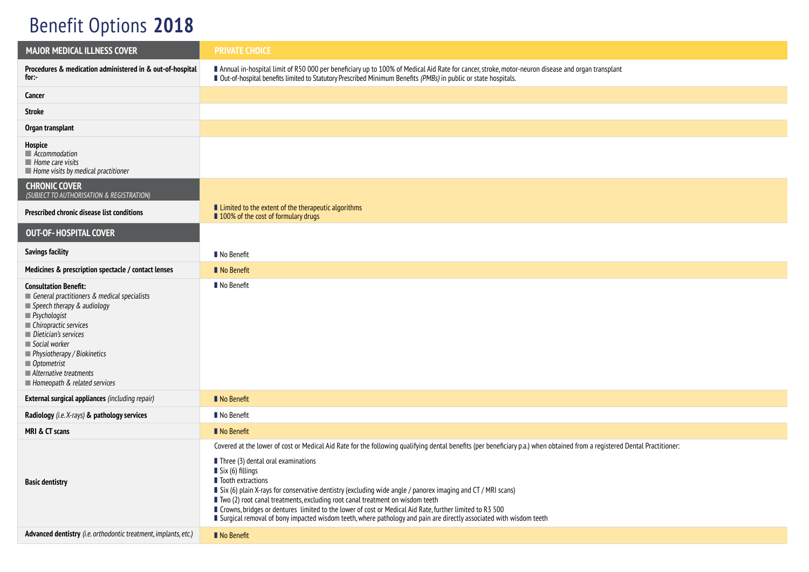## Benefit Options **2018**

| <b>MAJOR MEDICAL ILLNESS COVER</b>                                                                                                                                                                                                                                                                                                  | <b>PRIVATE CHOICE</b>                                                                                                                                                                                                                                                                                                                                                                                                                                                                                                                                                                                                                                                                                                     |  |  |
|-------------------------------------------------------------------------------------------------------------------------------------------------------------------------------------------------------------------------------------------------------------------------------------------------------------------------------------|---------------------------------------------------------------------------------------------------------------------------------------------------------------------------------------------------------------------------------------------------------------------------------------------------------------------------------------------------------------------------------------------------------------------------------------------------------------------------------------------------------------------------------------------------------------------------------------------------------------------------------------------------------------------------------------------------------------------------|--|--|
| Procedures & medication administered in & out-of-hospital<br>for:-                                                                                                                                                                                                                                                                  | Annual in-hospital limit of R50 000 per beneficiary up to 100% of Medical Aid Rate for cancer, stroke, motor-neuron disease and organ transplant<br>■ Out-of-hospital benefits limited to Statutory Prescribed Minimum Benefits (PMBs) in public or state hospitals.                                                                                                                                                                                                                                                                                                                                                                                                                                                      |  |  |
| Cancer                                                                                                                                                                                                                                                                                                                              |                                                                                                                                                                                                                                                                                                                                                                                                                                                                                                                                                                                                                                                                                                                           |  |  |
| <b>Stroke</b>                                                                                                                                                                                                                                                                                                                       |                                                                                                                                                                                                                                                                                                                                                                                                                                                                                                                                                                                                                                                                                                                           |  |  |
| Organ transplant                                                                                                                                                                                                                                                                                                                    |                                                                                                                                                                                                                                                                                                                                                                                                                                                                                                                                                                                                                                                                                                                           |  |  |
| Hospice<br>$\blacksquare$ Accommodation<br>$\blacksquare$ Home care visits<br>$\blacksquare$ Home visits by medical practitioner                                                                                                                                                                                                    |                                                                                                                                                                                                                                                                                                                                                                                                                                                                                                                                                                                                                                                                                                                           |  |  |
| <b>CHRONIC COVER</b><br>(SUBJECT TO AUTHORISATION & REGISTRATION)                                                                                                                                                                                                                                                                   |                                                                                                                                                                                                                                                                                                                                                                                                                                                                                                                                                                                                                                                                                                                           |  |  |
| Prescribed chronic disease list conditions                                                                                                                                                                                                                                                                                          | ■ Limited to the extent of the therapeutic algorithms<br>100% of the cost of formulary drugs                                                                                                                                                                                                                                                                                                                                                                                                                                                                                                                                                                                                                              |  |  |
| <b>OUT-OF-HOSPITAL COVER</b>                                                                                                                                                                                                                                                                                                        |                                                                                                                                                                                                                                                                                                                                                                                                                                                                                                                                                                                                                                                                                                                           |  |  |
| <b>Savings facility</b>                                                                                                                                                                                                                                                                                                             | No Benefit                                                                                                                                                                                                                                                                                                                                                                                                                                                                                                                                                                                                                                                                                                                |  |  |
| Medicines & prescription spectacle / contact lenses                                                                                                                                                                                                                                                                                 | No Benefit                                                                                                                                                                                                                                                                                                                                                                                                                                                                                                                                                                                                                                                                                                                |  |  |
| <b>Consultation Benefit:</b><br>General practitioners & medical specialists<br>Speech therapy & audiology<br>$\blacksquare$ Psychologist<br>■ Chiropractic services<br>Dietician's services<br>Social worker<br>Physiotherapy / Biokinetics<br>$\blacksquare$ Optometrist<br>Alternative treatments<br>Homeopath & related services | No Benefit                                                                                                                                                                                                                                                                                                                                                                                                                                                                                                                                                                                                                                                                                                                |  |  |
| <b>External surgical appliances</b> (including repair)                                                                                                                                                                                                                                                                              | No Benefit                                                                                                                                                                                                                                                                                                                                                                                                                                                                                                                                                                                                                                                                                                                |  |  |
| Radiology (i.e. X-rays) & pathology services                                                                                                                                                                                                                                                                                        | No Benefit                                                                                                                                                                                                                                                                                                                                                                                                                                                                                                                                                                                                                                                                                                                |  |  |
| MRI & CT scans                                                                                                                                                                                                                                                                                                                      | No Benefit                                                                                                                                                                                                                                                                                                                                                                                                                                                                                                                                                                                                                                                                                                                |  |  |
| <b>Basic dentistry</b>                                                                                                                                                                                                                                                                                                              | Covered at the lower of cost or Medical Aid Rate for the following qualifying dental benefits (per beneficiary p.a.) when obtained from a registered Dental Practitioner:<br>$\blacksquare$ Three (3) dental oral examinations<br>$\blacksquare$ Six (6) fillings<br>lacktractions<br>Six (6) plain X-rays for conservative dentistry (excluding wide angle / panorex imaging and CT / MRI scans)<br>■ Two (2) root canal treatments, excluding root canal treatment on wisdom teeth<br>■ Crowns, bridges or dentures limited to the lower of cost or Medical Aid Rate, further limited to R3 500<br>I Surgical removal of bony impacted wisdom teeth, where pathology and pain are directly associated with wisdom teeth |  |  |
| Advanced dentistry (i.e. orthodontic treatment, implants, etc.)                                                                                                                                                                                                                                                                     | No Benefit                                                                                                                                                                                                                                                                                                                                                                                                                                                                                                                                                                                                                                                                                                                |  |  |